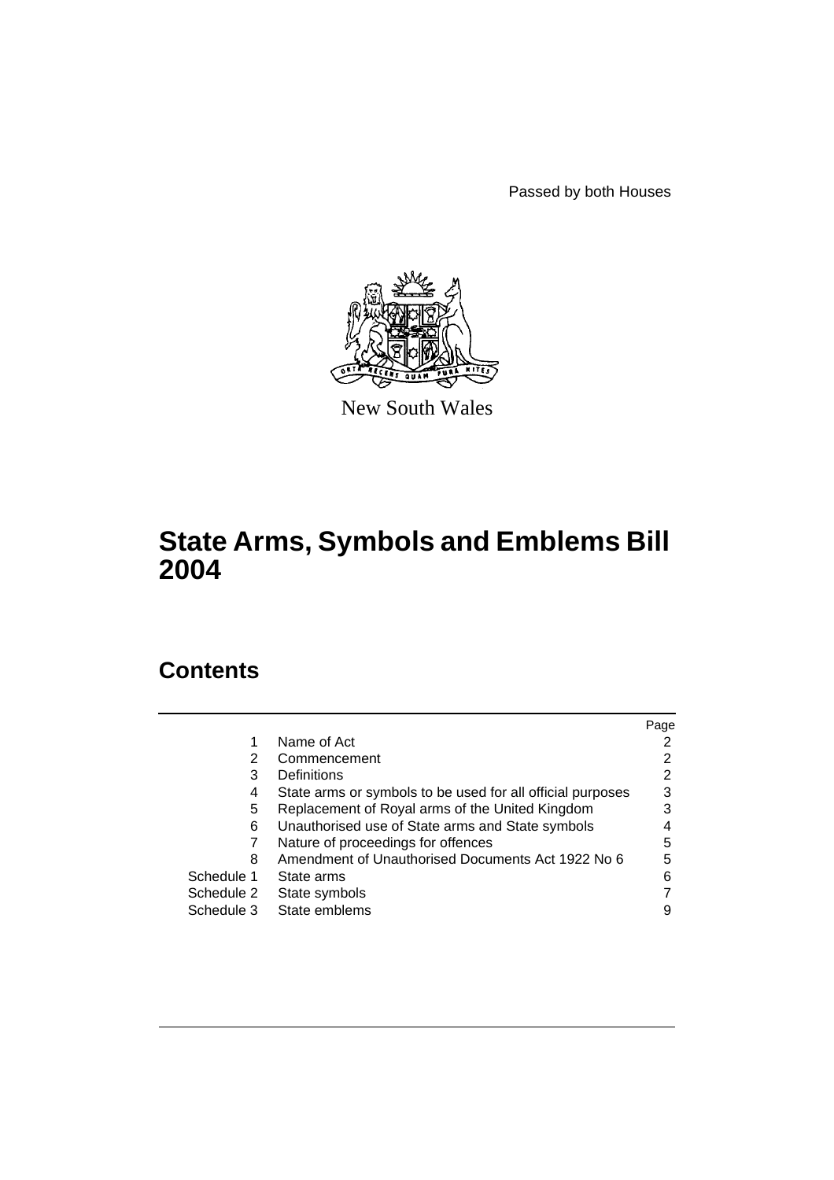Passed by both Houses



New South Wales

# **State Arms, Symbols and Emblems Bill 2004**

# **Contents**

|            |                                                            | Page |
|------------|------------------------------------------------------------|------|
|            | Name of Act                                                |      |
| 2          | Commencement                                               | 2    |
| 3          | Definitions                                                | 2    |
| 4          | State arms or symbols to be used for all official purposes | 3    |
| 5          | Replacement of Royal arms of the United Kingdom            | 3    |
| 6          | Unauthorised use of State arms and State symbols           |      |
|            | Nature of proceedings for offences                         | 5    |
| 8          | Amendment of Unauthorised Documents Act 1922 No 6          | 5    |
| Schedule 1 | State arms                                                 | 6    |
| Schedule 2 | State symbols                                              |      |
| Schedule 3 | State emblems                                              | 9    |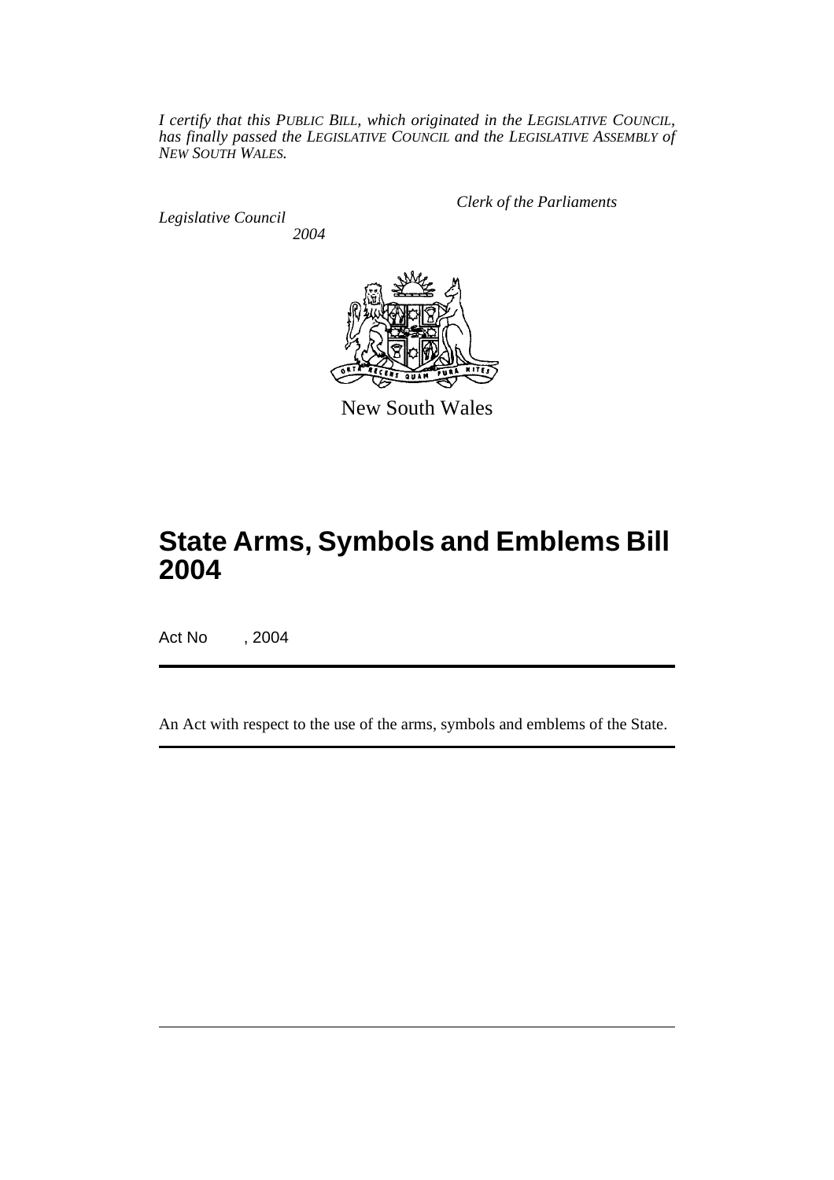*I certify that this PUBLIC BILL, which originated in the LEGISLATIVE COUNCIL, has finally passed the LEGISLATIVE COUNCIL and the LEGISLATIVE ASSEMBLY of NEW SOUTH WALES.*

*Legislative Council 2004* *Clerk of the Parliaments*



New South Wales

# **State Arms, Symbols and Emblems Bill 2004**

Act No , 2004

An Act with respect to the use of the arms, symbols and emblems of the State.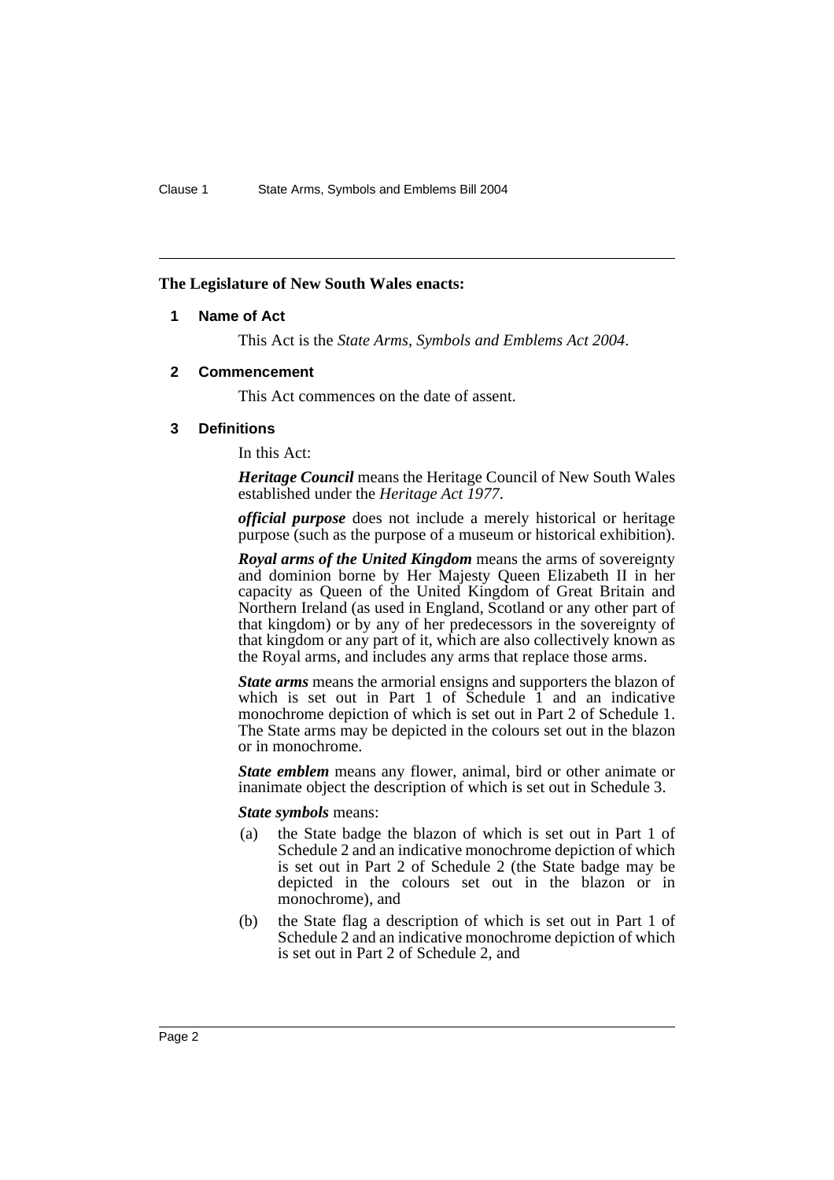#### **The Legislature of New South Wales enacts:**

#### **1 Name of Act**

This Act is the *State Arms, Symbols and Emblems Act 2004*.

#### **2 Commencement**

This Act commences on the date of assent.

#### **3 Definitions**

In this Act:

*Heritage Council* means the Heritage Council of New South Wales established under the *Heritage Act 1977*.

*official purpose* does not include a merely historical or heritage purpose (such as the purpose of a museum or historical exhibition).

*Royal arms of the United Kingdom* means the arms of sovereignty and dominion borne by Her Majesty Queen Elizabeth II in her capacity as Queen of the United Kingdom of Great Britain and Northern Ireland (as used in England, Scotland or any other part of that kingdom) or by any of her predecessors in the sovereignty of that kingdom or any part of it, which are also collectively known as the Royal arms, and includes any arms that replace those arms.

*State arms* means the armorial ensigns and supporters the blazon of which is set out in Part  $1$  of Schedule  $1$  and an indicative monochrome depiction of which is set out in Part 2 of Schedule 1. The State arms may be depicted in the colours set out in the blazon or in monochrome.

*State emblem* means any flower, animal, bird or other animate or inanimate object the description of which is set out in Schedule 3.

#### *State symbols* means:

- (a) the State badge the blazon of which is set out in Part 1 of Schedule 2 and an indicative monochrome depiction of which is set out in Part 2 of Schedule 2 (the State badge may be depicted in the colours set out in the blazon or in monochrome), and
- (b) the State flag a description of which is set out in Part 1 of Schedule 2 and an indicative monochrome depiction of which is set out in Part 2 of Schedule 2, and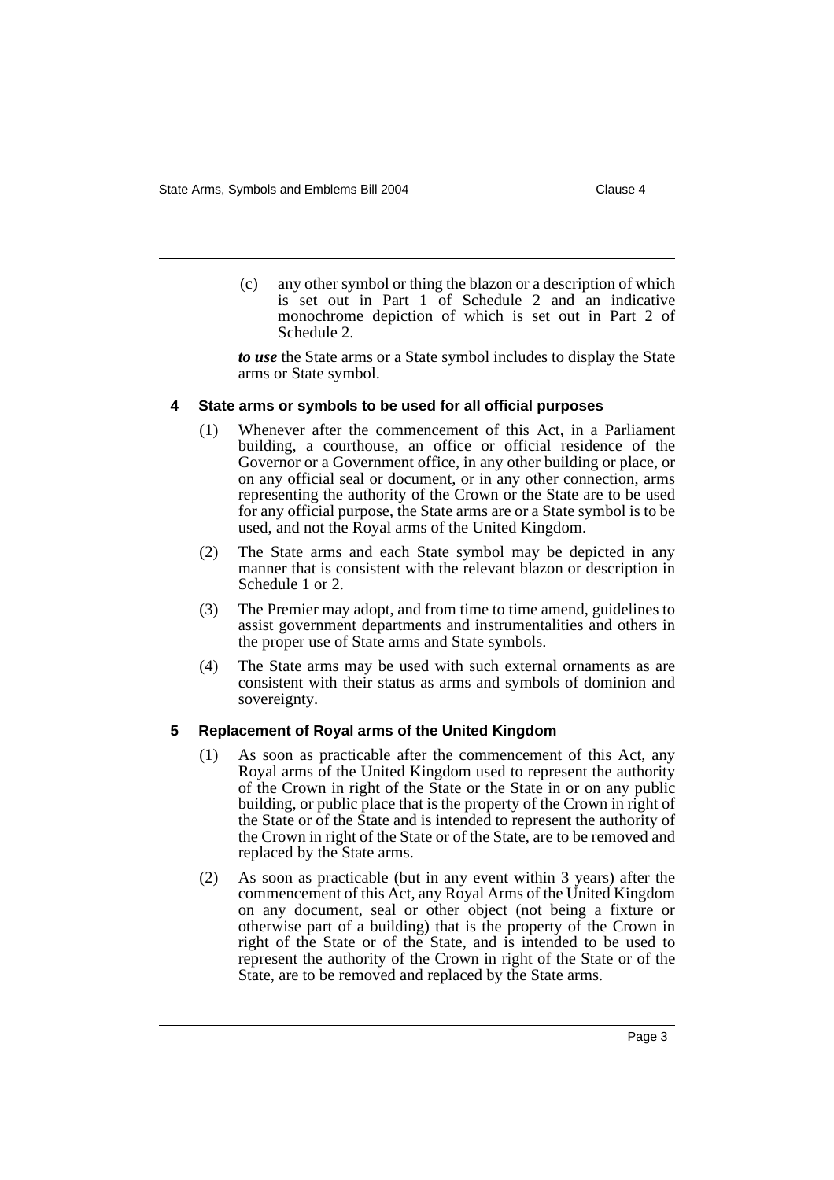(c) any other symbol or thing the blazon or a description of which is set out in Part 1 of Schedule 2 and an indicative monochrome depiction of which is set out in Part 2 of Schedule 2.

*to use* the State arms or a State symbol includes to display the State arms or State symbol.

#### **4 State arms or symbols to be used for all official purposes**

- (1) Whenever after the commencement of this Act, in a Parliament building, a courthouse, an office or official residence of the Governor or a Government office, in any other building or place, or on any official seal or document, or in any other connection, arms representing the authority of the Crown or the State are to be used for any official purpose, the State arms are or a State symbol is to be used, and not the Royal arms of the United Kingdom.
- (2) The State arms and each State symbol may be depicted in any manner that is consistent with the relevant blazon or description in Schedule 1 or 2.
- (3) The Premier may adopt, and from time to time amend, guidelines to assist government departments and instrumentalities and others in the proper use of State arms and State symbols.
- (4) The State arms may be used with such external ornaments as are consistent with their status as arms and symbols of dominion and sovereignty.

### **5 Replacement of Royal arms of the United Kingdom**

- (1) As soon as practicable after the commencement of this Act, any Royal arms of the United Kingdom used to represent the authority of the Crown in right of the State or the State in or on any public building, or public place that is the property of the Crown in right of the State or of the State and is intended to represent the authority of the Crown in right of the State or of the State, are to be removed and replaced by the State arms.
- (2) As soon as practicable (but in any event within 3 years) after the commencement of this Act, any Royal Arms of the United Kingdom on any document, seal or other object (not being a fixture or otherwise part of a building) that is the property of the Crown in right of the State or of the State, and is intended to be used to represent the authority of the Crown in right of the State or of the State, are to be removed and replaced by the State arms.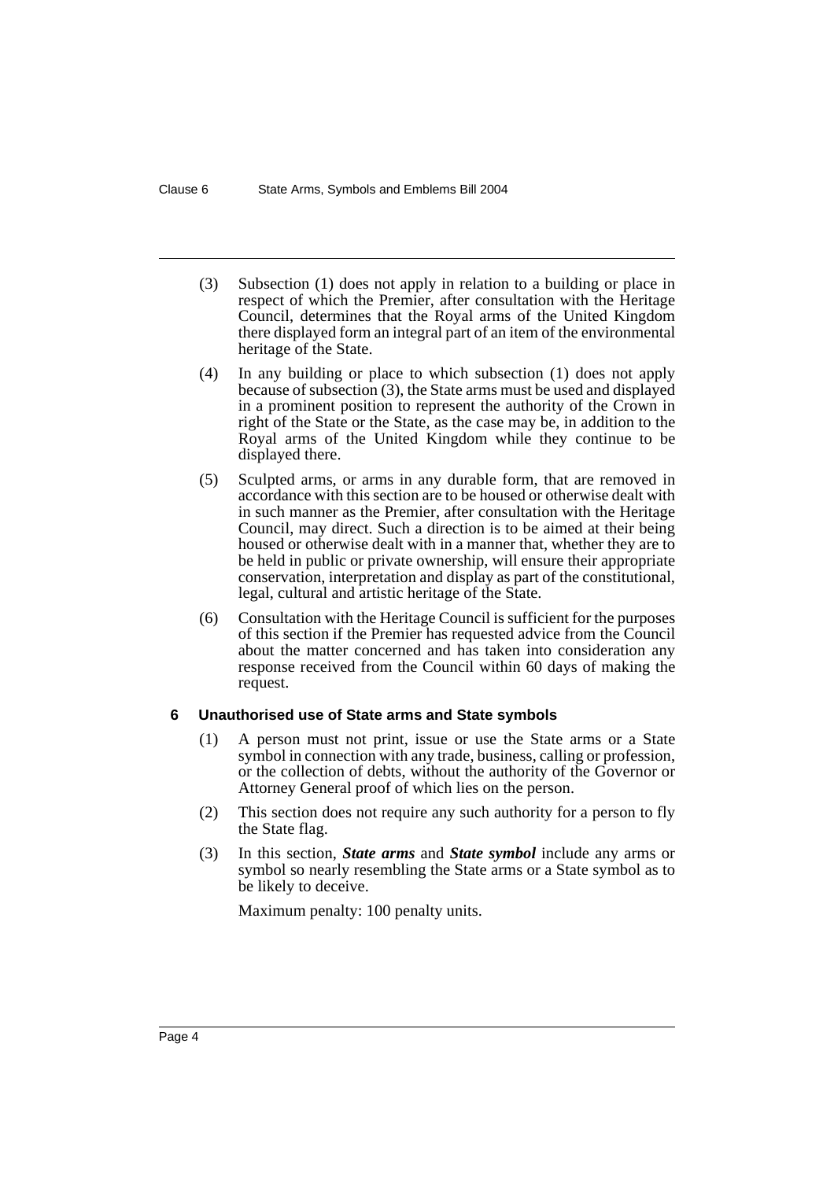- (3) Subsection (1) does not apply in relation to a building or place in respect of which the Premier, after consultation with the Heritage Council, determines that the Royal arms of the United Kingdom there displayed form an integral part of an item of the environmental heritage of the State.
- (4) In any building or place to which subsection (1) does not apply because of subsection (3), the State arms must be used and displayed in a prominent position to represent the authority of the Crown in right of the State or the State, as the case may be, in addition to the Royal arms of the United Kingdom while they continue to be displayed there.
- (5) Sculpted arms, or arms in any durable form, that are removed in accordance with this section are to be housed or otherwise dealt with in such manner as the Premier, after consultation with the Heritage Council, may direct. Such a direction is to be aimed at their being housed or otherwise dealt with in a manner that, whether they are to be held in public or private ownership, will ensure their appropriate conservation, interpretation and display as part of the constitutional, legal, cultural and artistic heritage of the State.
- (6) Consultation with the Heritage Council is sufficient for the purposes of this section if the Premier has requested advice from the Council about the matter concerned and has taken into consideration any response received from the Council within 60 days of making the request.

#### **6 Unauthorised use of State arms and State symbols**

- (1) A person must not print, issue or use the State arms or a State symbol in connection with any trade, business, calling or profession, or the collection of debts, without the authority of the Governor or Attorney General proof of which lies on the person.
- (2) This section does not require any such authority for a person to fly the State flag.
- (3) In this section, *State arms* and *State symbol* include any arms or symbol so nearly resembling the State arms or a State symbol as to be likely to deceive.

Maximum penalty: 100 penalty units.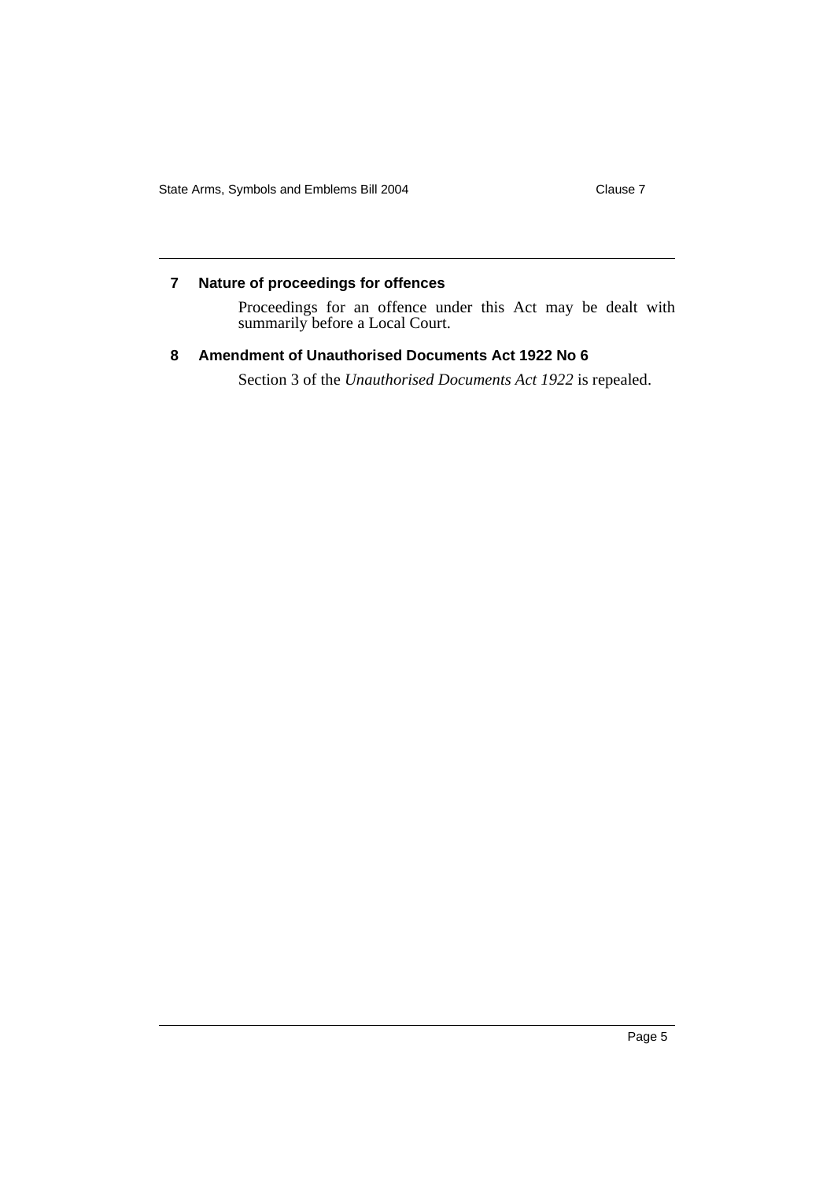#### **7 Nature of proceedings for offences**

Proceedings for an offence under this Act may be dealt with summarily before a Local Court.

## **8 Amendment of Unauthorised Documents Act 1922 No 6**

Section 3 of the *Unauthorised Documents Act 1922* is repealed.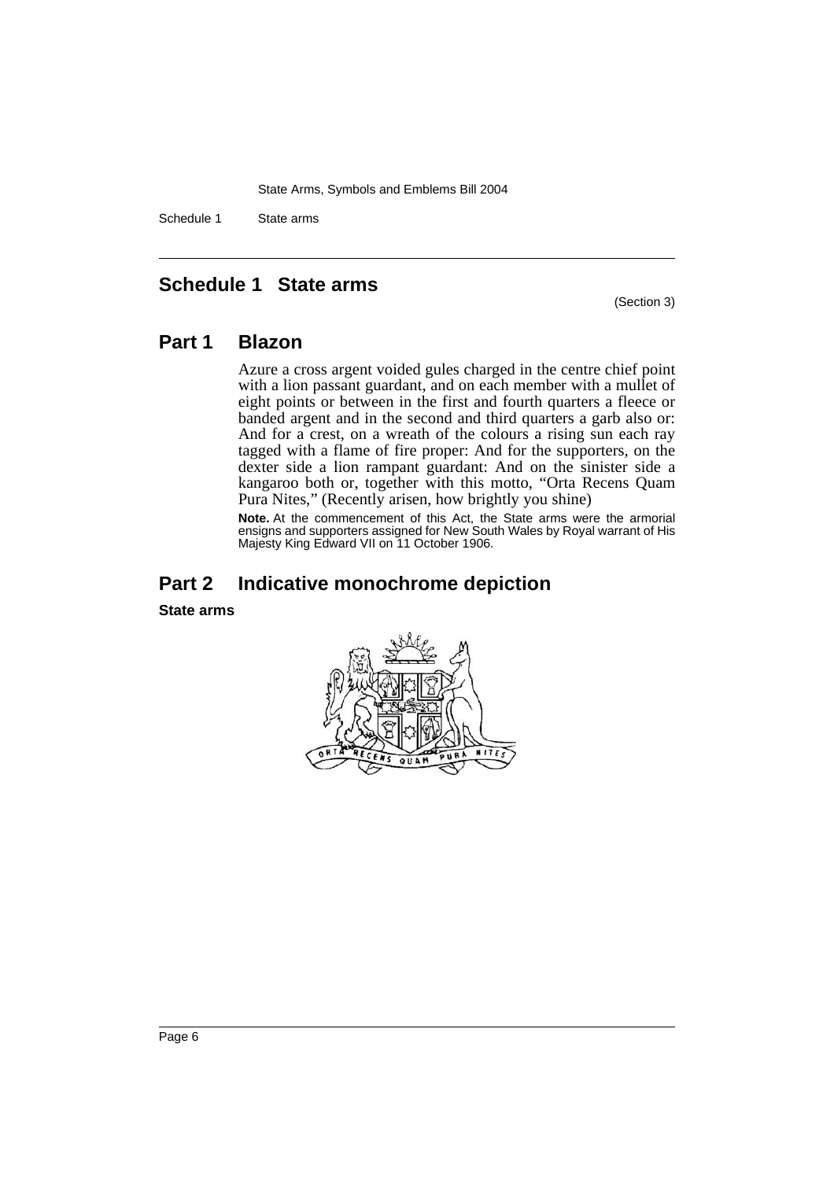Schedule 1 State arms

## **Schedule 1 State arms**

(Section 3)

## **Part 1 Blazon**

Azure a cross argent voided gules charged in the centre chief point with a lion passant guardant, and on each member with a mullet of eight points or between in the first and fourth quarters a fleece or banded argent and in the second and third quarters a garb also or: And for a crest, on a wreath of the colours a rising sun each ray tagged with a flame of fire proper: And for the supporters, on the dexter side a lion rampant guardant: And on the sinister side a kangaroo both or, together with this motto, "Orta Recens Quam Pura Nites," (Recently arisen, how brightly you shine)

**Note.** At the commencement of this Act, the State arms were the armorial ensigns and supporters assigned for New South Wales by Royal warrant of His Majesty King Edward VII on 11 October 1906.

# **Part 2 Indicative monochrome depiction**

**State arms**

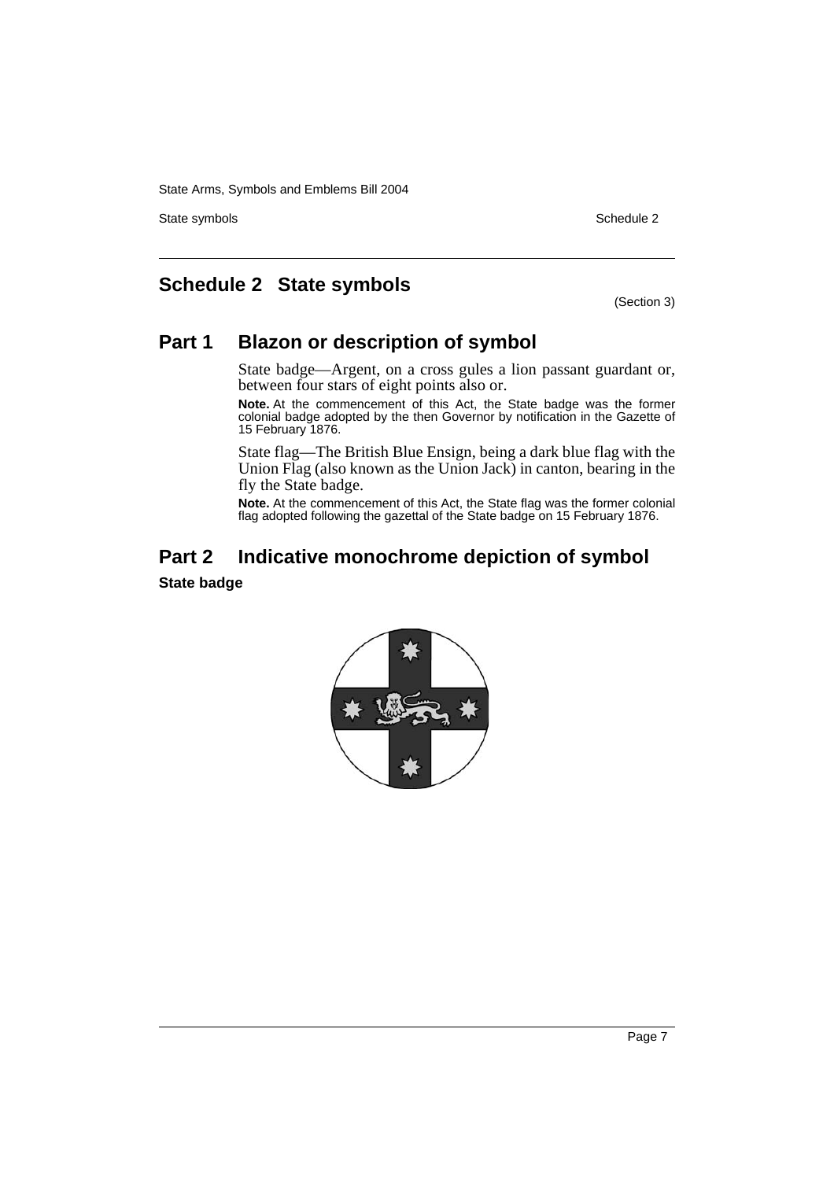State symbols **Schedule 2** Schedule 2

# **Schedule 2 State symbols**

(Section 3)

# **Part 1 Blazon or description of symbol**

State badge—Argent, on a cross gules a lion passant guardant or, between four stars of eight points also or.

**Note.** At the commencement of this Act, the State badge was the former colonial badge adopted by the then Governor by notification in the Gazette of 15 February 1876.

State flag—The British Blue Ensign, being a dark blue flag with the Union Flag (also known as the Union Jack) in canton, bearing in the fly the State badge.

**Note.** At the commencement of this Act, the State flag was the former colonial flag adopted following the gazettal of the State badge on 15 February 1876.

# **Part 2 Indicative monochrome depiction of symbol**

### **State badge**

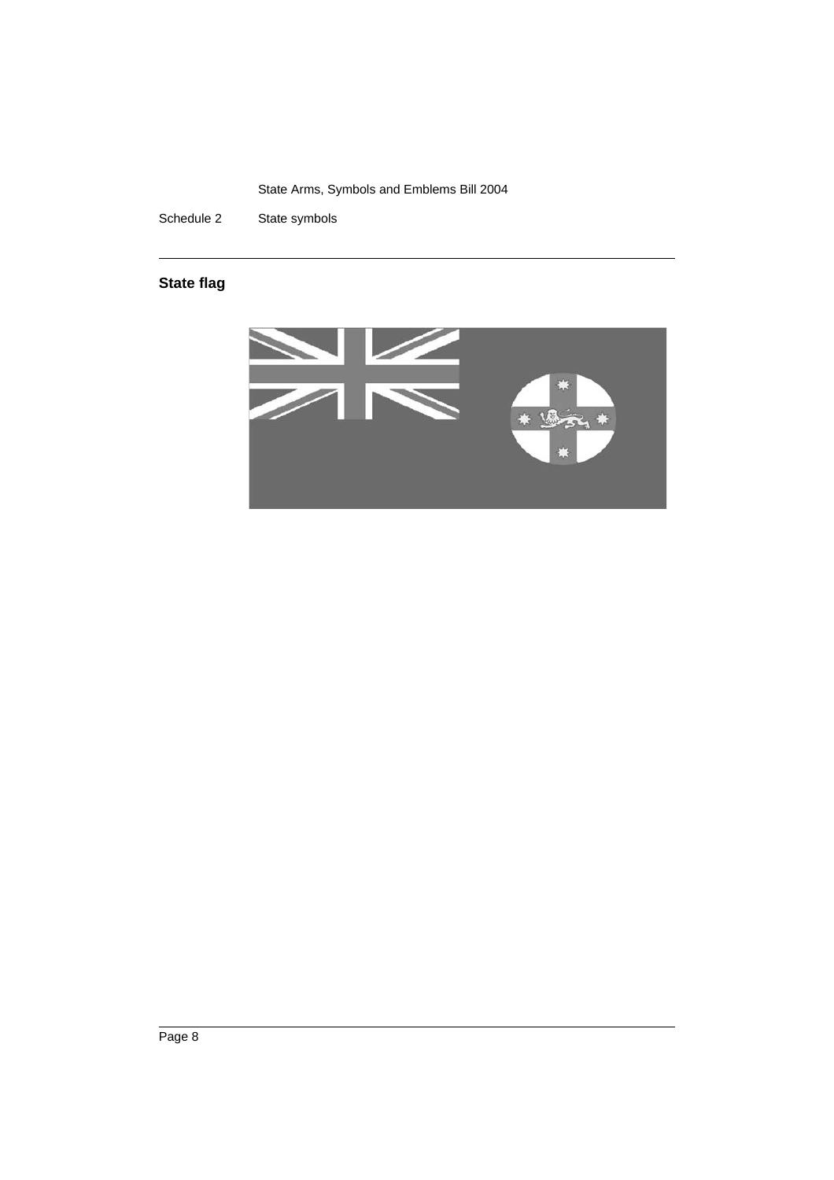Schedule 2 State symbols

## **State flag**